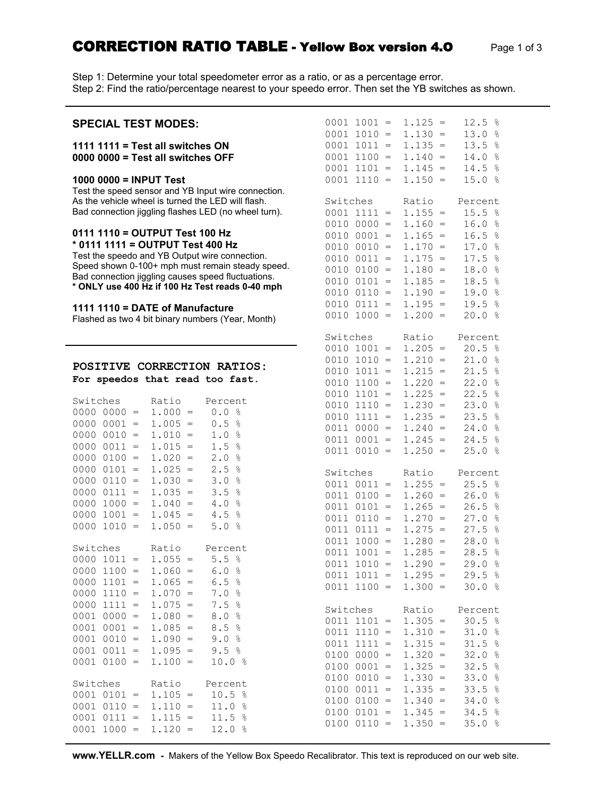## **CORRECTION RATIO TABLE - Yellow Box version 4.O** Page 1 of 3

Step 1: Determine your total speedometer error as a ratio, or as a percentage error. Step 2: Find the ratio/percentage nearest to your speedo error. Then set the YB switches as shown.

| <b>SPECIAL TEST MODES:</b>                                                                                                                                        | $0001 1001 =$<br>$0001 1010 =$   | $1.125 =$<br>$1.130 =$               | 12.5%<br>13.0%   |
|-------------------------------------------------------------------------------------------------------------------------------------------------------------------|----------------------------------|--------------------------------------|------------------|
| 1111 1111 = Test all switches $ON$<br>0000 0000 = Test all switches OFF                                                                                           | $0001 1011 =$<br>$0001$ 1100 =   | $1.135 =$<br>$1.140 =$               | 13.5 %<br>14.0%  |
| 1000 0000 = INPUT Test                                                                                                                                            | $0001$ $1101 =$<br>$0001$ 1110 = | $1.145 =$<br>$1.150 =$               | 14.5 %<br>15.0%  |
| Test the speed sensor and YB Input wire connection.<br>As the vehicle wheel is turned the LED will flash.<br>Bad connection jiggling flashes LED (no wheel turn). | Switches<br>$0001$ $1111 =$      | Ratio<br>$1.155 =$                   | Percent<br>15.5% |
|                                                                                                                                                                   | $0010 0000 =$                    | $1.160 =$                            | 16.0%            |
| 0111 1110 = OUTPUT Test 100 Hz                                                                                                                                    | $0010 0001 =$                    | $1.165 =$                            | 16.5%            |
| * 0111 1111 = OUTPUT Test 400 Hz                                                                                                                                  | $0010 0010 =$                    | $1.170 =$                            | 17.0%            |
| Test the speedo and YB Output wire connection.                                                                                                                    | $0010 0011 =$                    | $1.175 =$                            | 17.5%            |
| Speed shown 0-100+ mph must remain steady speed.<br>Bad connection jiggling causes speed fluctuations.                                                            | $0010 0100 =$                    | $1.180 =$                            | 18.0%            |
| * ONLY use 400 Hz if 100 Hz Test reads 0-40 mph                                                                                                                   | $0010 0101 =$                    | $1.185 =$                            | 18.5 %           |
|                                                                                                                                                                   | $0010 0110 =$                    | $1.190 =$                            | 19.0 %           |
| 1111 1110 = DATE of Manufacture                                                                                                                                   | $0010 0111 =$                    | $1.195 =$                            | 19.5%            |
| Flashed as two 4 bit binary numbers (Year, Month)                                                                                                                 | $0010 1000 =$                    | $1.200 =$                            | 20.0%            |
|                                                                                                                                                                   | Switches                         | Ratio                                | Percent          |
|                                                                                                                                                                   | $0010 1001 =$                    | $1.205 =$                            | 20.5%            |
|                                                                                                                                                                   | $0010 1010 =$                    | $1.210 =$                            | 21.0%            |
| POSITIVE CORRECTION RATIOS:                                                                                                                                       | $0010 1011 =$                    | $1.215 =$                            | 21.5%            |
| For speedos that read too fast.                                                                                                                                   | $0010 1100 =$                    | $1.220 =$                            | 22.0%            |
| Switches<br>Ratio<br>Percent                                                                                                                                      | $0010 1101 =$                    | $1.225 =$                            | 22.5%            |
| $0000 0000 =$<br>$1.000 =$<br>0.0%                                                                                                                                | $0010$ 1110 =                    | $1.230 =$                            | 23.0%            |
| $0000 0001 =$<br>$1.005 =$<br>0.5%                                                                                                                                | $0010 1111 =$                    | $1.235 =$                            | 23.5%            |
| $0000 0010 =$<br>$1.010 =$<br>1.0%                                                                                                                                | $0011 0000 =$                    | $1.240 =$                            | 24.0%            |
| $00000011 =$<br>$1.015 =$<br>1.5%                                                                                                                                 | $0011 0001 =$                    | $1.245 =$                            | 24.5%            |
| $00000100 =$<br>2.0%<br>$1.020 =$                                                                                                                                 | $0011 0010 =$                    | $1.250 =$                            | 25.0%            |
| $00000101 =$<br>$1.025 =$<br>2.5%                                                                                                                                 | Switches                         | Ratio                                | Percent          |
| $00000110 =$<br>$1.030 =$<br>3.0%                                                                                                                                 | $0011 0011 =$                    | $1.255 =$                            | 25.5%            |
| $00000111 =$<br>$1.035 =$<br>3.5%                                                                                                                                 | $0011 0100 =$                    | $1.260 =$                            | 26.0%            |
| $0000 1000 =$<br>$1.040 =$<br>4.0%                                                                                                                                | $0011 0101 =$                    | $1.265 =$                            | 26.5%            |
| $0000 1001 =$<br>$1.045 =$<br>4.5%                                                                                                                                | $0011 0110 =$                    | $1.270 =$                            | 27.0%            |
| $0000 1010 =$<br>$1.050 =$<br>5.0%                                                                                                                                | $0011 0111 =$                    | $1.275 =$                            | 27.5%            |
|                                                                                                                                                                   | $0011 1000 =$                    | $1.280 =$                            | 28.0%            |
| Switches<br>Ratio<br>Percent                                                                                                                                      | $0011 1001 =$                    | $1.285 =$                            | 28.5%            |
| $1.055 =$<br>5.5%<br>$0000 1011 =$<br>$0000 1100 = 1.060 = 6.0$ %                                                                                                 | $0011 1010 = 1.290 =$            |                                      | 29.0%            |
| $0000 1101 =$<br>6.5%<br>$1.065 =$                                                                                                                                | $0011$ $1011 = 1.295 = 29.5$ %   |                                      |                  |
| $1.070 =$<br>$0000 1110 =$<br>7.0%                                                                                                                                | $0011$ 1100 = 1.300 = 30.0 %     |                                      |                  |
| $0000 1111 =$<br>$1.075 =$<br>7.5%                                                                                                                                |                                  |                                      |                  |
| $0001 0000 =$<br>8.0%<br>$1.080 =$                                                                                                                                | Switches                         | Ratio                                | Percent          |
| $0001 0001 =$<br>8.5%<br>$1.085 =$                                                                                                                                | $0011$ $1101 = 1.305 =$          |                                      | 30.5%            |
| $0001 0010 =$<br>$1.090 =$<br>9.0%                                                                                                                                | $0011$ $1110 = 1.310 =$          |                                      | 31.0%            |
| $1.095 =$<br>$0001 0011 =$<br>9.5%                                                                                                                                | $0011$ $1111 =$                  | $1.315 =$                            | 31.5%            |
| $0001$ $0100 =$<br>$1.100 =$<br>10.0%                                                                                                                             | $0100 0000 =$                    | $1.320 =$                            | 32.0%            |
|                                                                                                                                                                   | $0100 0001 =$                    | $1.325 =$                            | 32.5%            |
| Ratio<br>Switches<br>Percent                                                                                                                                      | $0100 0010 =$                    | $1.330 =$                            | 33.0%            |
| $0001$ $0101 =$<br>$1.105 = 10.5$ %                                                                                                                               | $0100 0011 =$<br>$0100 0100 =$   | $1.335 = 33.5$ %<br>$1.340 = 34.0$ % |                  |
| $0001$ $0110 =$<br>$1.110 = 11.0$ %                                                                                                                               | $0100 0101 = 1.345 = 34.5$ %     |                                      |                  |
| 0001 0111 = $1.115 = 11.5$ %                                                                                                                                      | $0100 0110 = 1.350 = 35.0$ %     |                                      |                  |
| $0001 1000 = 1.120 = 12.0$ %                                                                                                                                      |                                  |                                      |                  |

**www.YELLR.com -** Makers of the Yellow Box Speedo Recalibrator. This text is reproduced on our web site.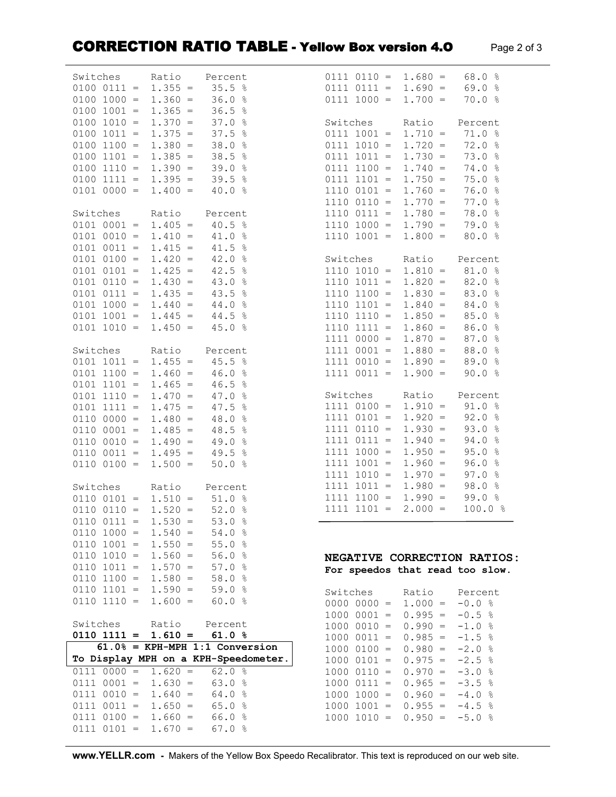## **CORRECTION RATIO TABLE - Yellow Box version 4.O** Page 2 of 3

| Switches                                           | Ratio                  | Percent                              | $0111 0110 =$                   | $1.680 =$                            | 68.0%                 |
|----------------------------------------------------|------------------------|--------------------------------------|---------------------------------|--------------------------------------|-----------------------|
| $0100 0111 =$                                      | $1.355 =$              | 35.5%                                | $0111 0111 =$                   | $1.690 =$                            | 69.0%                 |
| $0100 1000 =$                                      | $1.360 =$              | 36.0%                                | $0111 1000 =$                   | $1.700 =$                            | 70.0%                 |
| $0100 1001 =$                                      | $1.365 =$              | 36.5<br>$\frac{5}{6}$                |                                 |                                      |                       |
| $0100 1010 =$                                      | $1.370 =$              | 37.0<br>ိင                           | Switches                        | Ratio                                | Percent               |
| $0100 1011 =$                                      | $1.375 =$              | 37.5<br>$\frac{6}{6}$                | $0111 1001 =$                   | $1.710 =$                            | 71.0%                 |
| $0100 1100 =$                                      | $1.380 =$              | 38.0<br>$\frac{6}{6}$                | $0111 1010 =$                   | $1.720 =$                            | 72.0%                 |
| $0100 1101 =$                                      | $1.385 =$              | 38.5<br>$\frac{6}{6}$                | $0111 1011 =$                   | $1.730 =$                            | 73.0%                 |
| $0100 1110 =$                                      | $1.390 =$              | 39.0<br>$\frac{6}{6}$                | $0111$ $1100 =$                 | $1.740 =$                            | 74.0%                 |
| $0100 1111 =$                                      | $1.395 =$              | 39.5%                                | $0111$ $1101 =$                 | $1.750 =$                            | 75.0%                 |
| $0101 0000 =$                                      | $1.400 =$              | 40.0%                                | $1110 0101 =$                   | $1.760 =$                            | 76.0%                 |
| Switches                                           | Ratio                  | Percent                              | $1110 0110 =$<br>$1110 0111 =$  | $1.770 =$<br>$1.780 =$               | 77.0%<br>78.0 %       |
| $0101 0001 =$                                      | $1.405 =$              | 40.5<br>ႜၟ                           | $1110 1000 =$                   | $1.790 =$                            | 79.0%                 |
| $0101 0010 =$                                      | $1.410 =$              | 41.0<br>$\frac{6}{5}$                | $1110 1001 =$                   | $1.800 =$                            | 80.0%                 |
| $0101 0011 =$                                      | $1.415 =$              | 41.5 %                               |                                 |                                      |                       |
| $0101 0100 =$                                      | $1.420 =$              | 42.0%                                | Switches                        | Ratio                                | Percent               |
| $0101 0101 =$                                      | $1.425 =$              | 42.5%                                | $1110 1010 =$                   | $1.810 =$                            | 81.0%                 |
| $0101 0110 =$                                      | $1.430 =$              | 43.0 %                               | $1110 1011 =$                   | $1.820 =$                            | 82.0%                 |
| $0101 0111 =$                                      | $1.435 =$              | 43.5 %                               | $1110 1100 =$                   | $1.830 =$                            | 83.0%                 |
| $0101 1000 =$                                      | $1.440 =$              | 44.0 %                               | $1110 1101 =$                   | $1.840 =$                            | 84.0%                 |
| $0101 1001 =$                                      | $1.445 =$              | 44.5<br>ိစ                           | $1110$ $1110 =$                 | $1.850 =$                            | 85.0<br>$\frac{6}{5}$ |
| $0101 1010 =$                                      | $1.450 =$              | 45.0%                                | $1110 1111 =$                   | $1.860 =$                            | 86.0<br>$\frac{6}{5}$ |
|                                                    |                        |                                      | $1111 0000 =$                   | $1.870 =$                            | 87.0<br>$\frac{6}{6}$ |
| Switches                                           | Ratio                  | Percent                              | $1111 0001 =$                   | $1.880 =$                            | 88.0%                 |
| $0101 1011 =$                                      | $1.455 =$              | 45.5<br>$\frac{6}{6}$                | $1111 0010 =$                   | $1.890 =$                            | 89.0%                 |
| $0101$ $1100 =$                                    | $1.460 =$              | 46.0<br>$\frac{6}{6}$                | $1111 0011 =$                   | $1.900 =$                            | 90.0%                 |
| $0101 1101 =$<br>$0101$ $1110 =$                   | $1.465 =$<br>$1.470 =$ | 46.5%<br>47.0%                       | Switches                        | Ratio                                | Percent               |
| $0101$ $1111 =$                                    | $1.475 =$              | 47.5 %                               | $1111 0100 =$                   | $1.910 =$                            | 91.0%                 |
| $0110 0000 =$                                      | $1.480 =$              | 48.0 %                               | $1111 0101 =$                   | $1.920 =$                            | 92.0%                 |
| $0110 0001 =$                                      | $1.485 =$              | 48.5 %                               | $1111 0110 =$                   | $1.930 =$                            | 93.0%                 |
| $0110 0010 =$                                      | $1.490 =$              | 49.0 %                               | $1111 0111 =$                   | $1.940 =$                            | 94.0%                 |
| $0110 0011 =$                                      | $1.495 =$              | 49.5 %                               | $1111 1000 =$                   | $1.950 =$                            | 95.0%                 |
| $0110 0100 =$                                      | $1.500 =$              | 50.0%                                | $1111 1001 =$                   | $1.960 =$                            | 96.0%                 |
|                                                    |                        |                                      | $1111 1010 =$                   | $1.970 =$                            | 97.0%                 |
| Switches                                           | Ratio                  | Percent                              | $1111 1011 =$                   | $1.980 =$                            | 98.0%                 |
| $0110 0101 =$                                      | $1.510 =$              | 51.0%                                | $1111$ $1100 =$                 | $1.990 =$                            | 99.0%                 |
| $0110 0110 =$                                      | $1.520 =$              | 52.0%                                | $1111 1101 =$                   | $2.000 =$                            | 100.0 %               |
| $0110$ $0111 =$<br>$0110 1000 =$                   | $1.530 =$<br>$1.540 =$ | 53.0%<br>54.0%                       |                                 |                                      |                       |
| $0110 1001 = 1.550 =$                              |                        | 55.0%                                |                                 |                                      |                       |
| $0110 1010 = 1.560 =$                              |                        | 56.0%                                | NEGATIVE CORRECTION RATIOS:     |                                      |                       |
| $0110 1011 = 1.570 =$                              |                        | 57.0%                                | For speedos that read too slow. |                                      |                       |
| $0110$ $1100 = 1.580 =$                            |                        | 58.0 %                               |                                 |                                      |                       |
| $0110 1101 =$                                      | $1.590 =$              | 59.0%                                | Switches                        | Ratio                                | Percent               |
| $0110 1110 =$                                      | $1.600 =$              | 60.0%                                | $0000 0000 =$                   | $1.000 =$                            | $-0.0%$               |
|                                                    |                        |                                      | $10000001 =$                    | $0.995 = -0.5$ %                     |                       |
| Switches                                           | Ratio                  | Percent                              | $1000 0010 =$                   | $0.990 =$                            | $-1.0%$               |
| $0110$ $1111 = 1.610 =$                            |                        | 61.0%                                | $1000 0011 =$                   | $0.985 = -1.5$ %                     |                       |
|                                                    |                        | $61.0% = KPH-MPH 1:1$ Conversion     | $1000 0100 =$                   | $0.980 = -2.0$ %                     |                       |
|                                                    |                        | To Display MPH on a KPH-Speedometer. | $1000 0101 =$                   | $0.975 = -2.5$ %                     |                       |
| $0111\ 0000 = 1.620 =$                             |                        | 62.0%                                | $1000 0110 =$                   | $0.970 = -3.0$ %                     |                       |
| $0111$ $0001 = 1.630 =$                            |                        | 63.0%                                | $1000 0111 =$                   | $0.965 = -3.5$ %                     |                       |
| $0111$ $0010 = 1.640 =$<br>$0111$ $0011 = 1.650 =$ |                        | 64.0%<br>65.0%                       | $1000 1000 =$<br>$1000 1001 =$  | $0.960 = -4.0$ %<br>$0.955 = -4.5$ % |                       |
| $0111$ $0100 = 1.660 =$                            |                        | 66.0 %                               | $1000 1010 =$                   | $0.950 = -5.0$ %                     |                       |
| $0111 0101 =$                                      | $1.670 =$              | 67.0%                                |                                 |                                      |                       |
|                                                    |                        |                                      |                                 |                                      |                       |

**www.YELLR.com -** Makers of the Yellow Box Speedo Recalibrator. This text is reproduced on our web site.